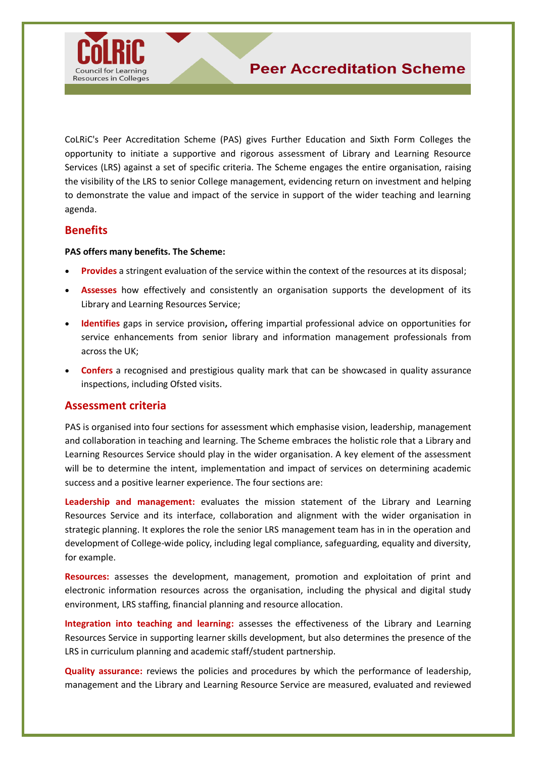

Resources in Colleges

CoLRiC's Peer Accreditation Scheme (PAS) gives Further Education and Sixth Form Colleges the opportunity to initiate a supportive and rigorous assessment of Library and Learning Resource Services (LRS) against a set of specific criteria. The Scheme engages the entire organisation, raising the visibility of the LRS to senior College management, evidencing return on investment and helping to demonstrate the value and impact of the service in support of the wider teaching and learning agenda.

# **Benefits**

#### **PAS offers many benefits. The Scheme:**

- **Provides** a stringent evaluation of the service within the context of the resources at its disposal;
- **Assesses** how effectively and consistently an organisation supports the development of its Library and Learning Resources Service;
- **Identifies** gaps in service provision**,** offering impartial professional advice on opportunities for service enhancements from senior library and information management professionals from across the UK;
- **Confers** a recognised and prestigious quality mark that can be showcased in quality assurance inspections, including Ofsted visits.

## **Assessment criteria**

PAS is organised into four sections for assessment which emphasise vision, leadership, management and collaboration in teaching and learning. The Scheme embraces the holistic role that a Library and Learning Resources Service should play in the wider organisation. A key element of the assessment will be to determine the intent, implementation and impact of services on determining academic success and a positive learner experience. The four sections are:

**Leadership and management:** evaluates the mission statement of the Library and Learning Resources Service and its interface, collaboration and alignment with the wider organisation in strategic planning. It explores the role the senior LRS management team has in in the operation and development of College-wide policy, including legal compliance, safeguarding, equality and diversity, for example.

**Resources:** assesses the development, management, promotion and exploitation of print and electronic information resources across the organisation, including the physical and digital study environment, LRS staffing, financial planning and resource allocation.

**Integration into teaching and learning:** assesses the effectiveness of the Library and Learning Resources Service in supporting learner skills development, but also determines the presence of the LRS in curriculum planning and academic staff/student partnership.

**Quality assurance:** reviews the policies and procedures by which the performance of leadership, management and the Library and Learning Resource Service are measured, evaluated and reviewed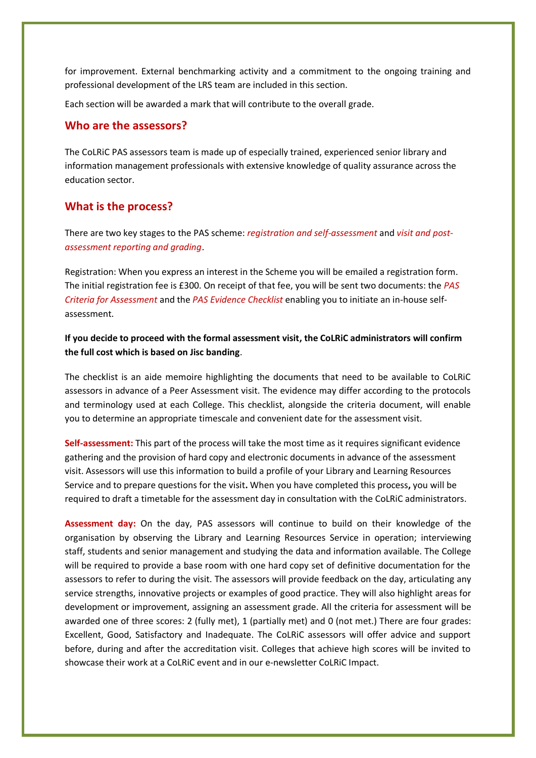for improvement. External benchmarking activity and a commitment to the ongoing training and professional development of the LRS team are included in this section.

Each section will be awarded a mark that will contribute to the overall grade.

#### **Who are the assessors?**

The CoLRiC PAS assessors team is made up of especially trained, experienced senior library and information management professionals with extensive knowledge of quality assurance across the education sector.

#### **What is the process?**

There are two key stages to the PAS scheme: *registration and self-assessment* and *visit and postassessment reporting and grading*.

Registration: When you express an interest in the Scheme you will be emailed a registration form. The initial registration fee is £300. On receipt of that fee, you will be sent two documents: the *PAS Criteria for Assessment* and the *PAS Evidence Checklist* enabling you to initiate an in-house selfassessment.

### **If you decide to proceed with the formal assessment visit, the CoLRiC administrators will confirm the full cost which is based on Jisc banding**.

The checklist is an aide memoire highlighting the documents that need to be available to CoLRiC assessors in advance of a Peer Assessment visit. The evidence may differ according to the protocols and terminology used at each College. This checklist, alongside the criteria document, will enable you to determine an appropriate timescale and convenient date for the assessment visit.

**Self-assessment:** This part of the process will take the most time as it requires significant evidence gathering and the provision of hard copy and electronic documents in advance of the assessment visit. Assessors will use this information to build a profile of your Library and Learning Resources Service and to prepare questions for the visit**.** When you have completed this process**,** you will be required to draft a timetable for the assessment day in consultation with the CoLRiC administrators.

**Assessment day:** On the day, PAS assessors will continue to build on their knowledge of the organisation by observing the Library and Learning Resources Service in operation; interviewing staff, students and senior management and studying the data and information available. The College will be required to provide a base room with one hard copy set of definitive documentation for the assessors to refer to during the visit. The assessors will provide feedback on the day, articulating any service strengths, innovative projects or examples of good practice. They will also highlight areas for development or improvement, assigning an assessment grade. All the criteria for assessment will be awarded one of three scores: 2 (fully met), 1 (partially met) and 0 (not met.) There are four grades: Excellent, Good, Satisfactory and Inadequate. The CoLRiC assessors will offer advice and support before, during and after the accreditation visit. Colleges that achieve high scores will be invited to showcase their work at a CoLRiC event and in our e-newsletter CoLRiC Impact.